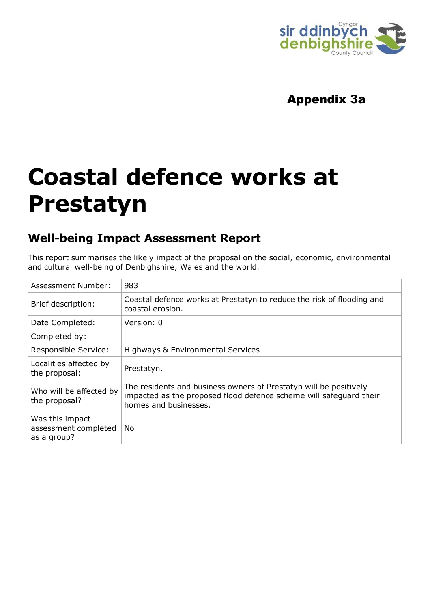

# Appendix 3a

# **Coastal defence works at Prestatyn**

# **Well-being Impact Assessment Report**

This report summarises the likely impact of the proposal on the social, economic, environmental and cultural well-being of Denbighshire, Wales and the world.

| Assessment Number:                                     | 983                                                                                                                                                              |
|--------------------------------------------------------|------------------------------------------------------------------------------------------------------------------------------------------------------------------|
| Brief description:                                     | Coastal defence works at Prestatyn to reduce the risk of flooding and<br>coastal erosion.                                                                        |
| Date Completed:                                        | Version: 0                                                                                                                                                       |
| Completed by:                                          |                                                                                                                                                                  |
| Responsible Service:                                   | Highways & Environmental Services                                                                                                                                |
| Localities affected by<br>the proposal:                | Prestatyn,                                                                                                                                                       |
| Who will be affected by<br>the proposal?               | The residents and business owners of Prestatyn will be positively<br>impacted as the proposed flood defence scheme will safeguard their<br>homes and businesses. |
| Was this impact<br>assessment completed<br>as a group? | No                                                                                                                                                               |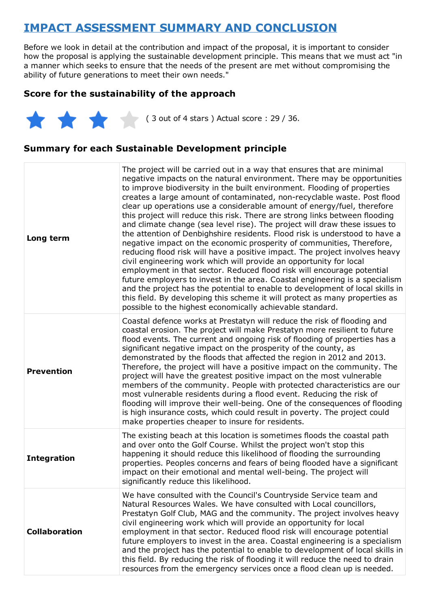# **IMPACT ASSESSMENT SUMMARY AND CONCLUSION**

Before we look in detail at the contribution and impact of the proposal, it is important to consider how the proposal is applying the sustainable development principle. This means that we must act "in a manner which seeks to ensure that the needs of the present are met without compromising the ability of future generations to meet their own needs."

## **Score for the sustainability of the approach**

 $(3 \text{ out of 4 stars})$  Actual score : 29 / 36.

## **Summary for each Sustainable Development principle**

| Long term            | The project will be carried out in a way that ensures that are minimal<br>negative impacts on the natural environment. There may be opportunities<br>to improve biodiversity in the built environment. Flooding of properties<br>creates a large amount of contaminated, non-recyclable waste. Post flood<br>clear up operations use a considerable amount of energy/fuel, therefore<br>this project will reduce this risk. There are strong links between flooding<br>and climate change (sea level rise). The project will draw these issues to<br>the attention of Denbighshire residents. Flood risk is understood to have a<br>negative impact on the economic prosperity of communities, Therefore,<br>reducing flood risk will have a positive impact. The project involves heavy<br>civil engineering work which will provide an opportunity for local<br>employment in that sector. Reduced flood risk will encourage potential<br>future employers to invest in the area. Coastal engineering is a specialism<br>and the project has the potential to enable to development of local skills in<br>this field. By developing this scheme it will protect as many properties as<br>possible to the highest economically achievable standard. |
|----------------------|------------------------------------------------------------------------------------------------------------------------------------------------------------------------------------------------------------------------------------------------------------------------------------------------------------------------------------------------------------------------------------------------------------------------------------------------------------------------------------------------------------------------------------------------------------------------------------------------------------------------------------------------------------------------------------------------------------------------------------------------------------------------------------------------------------------------------------------------------------------------------------------------------------------------------------------------------------------------------------------------------------------------------------------------------------------------------------------------------------------------------------------------------------------------------------------------------------------------------------------------------|
| <b>Prevention</b>    | Coastal defence works at Prestatyn will reduce the risk of flooding and<br>coastal erosion. The project will make Prestatyn more resilient to future<br>flood events. The current and ongoing risk of flooding of properties has a<br>significant negative impact on the prosperity of the county, as<br>demonstrated by the floods that affected the region in 2012 and 2013.<br>Therefore, the project will have a positive impact on the community. The<br>project will have the greatest positive impact on the most vulnerable<br>members of the community. People with protected characteristics are our<br>most vulnerable residents during a flood event. Reducing the risk of<br>flooding will improve their well-being. One of the consequences of flooding<br>is high insurance costs, which could result in poverty. The project could<br>make properties cheaper to insure for residents.                                                                                                                                                                                                                                                                                                                                               |
| <b>Integration</b>   | The existing beach at this location is sometimes floods the coastal path<br>and over onto the Golf Course. Whilst the project won't stop this<br>happening it should reduce this likelihood of flooding the surrounding<br>properties. Peoples concerns and fears of being flooded have a significant<br>impact on their emotional and mental well-being. The project will<br>significantly reduce this likelihood.                                                                                                                                                                                                                                                                                                                                                                                                                                                                                                                                                                                                                                                                                                                                                                                                                                  |
| <b>Collaboration</b> | We have consulted with the Council's Countryside Service team and<br>Natural Resources Wales. We have consulted with Local councillors,<br>Prestatyn Golf Club, MAG and the community. The project involves heavy<br>civil engineering work which will provide an opportunity for local<br>employment in that sector. Reduced flood risk will encourage potential<br>future employers to invest in the area. Coastal engineering is a specialism<br>and the project has the potential to enable to development of local skills in<br>this field. By reducing the risk of flooding it will reduce the need to drain<br>resources from the emergency services once a flood clean up is needed.                                                                                                                                                                                                                                                                                                                                                                                                                                                                                                                                                         |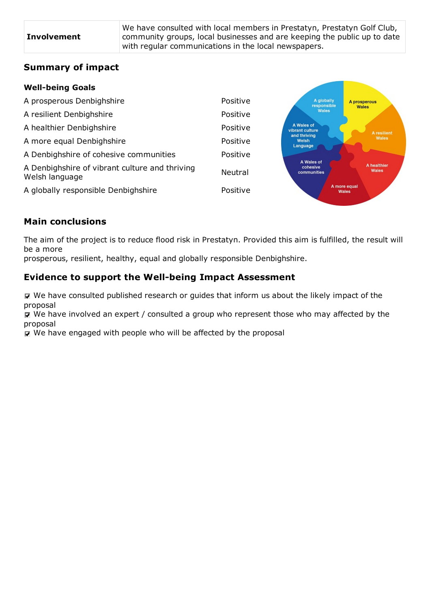We have consulted with local members in Prestatyn, Prestatyn Golf Club, community groups, local businesses and are keeping the public up to date with regular communications in the local newspapers.

**Contractor** 

## **Summary of impact**

#### **Well-being Goals**

| A prosperous Denbighshire                                        | Positive       | A globally<br>responsible             | A prosperous<br><b>Wales</b> |
|------------------------------------------------------------------|----------------|---------------------------------------|------------------------------|
| A resilient Denbighshire                                         | Positive       | <b>Wales</b>                          |                              |
| A healthier Denbighshire                                         | Positive       | A Wales of<br>vibrant culture         | A resilient                  |
| A more equal Denbighshire                                        | Positive       | and thriving<br>Welsh<br>Language     | Wales                        |
| A Denbighshire of cohesive communities                           | Positive       |                                       |                              |
| A Denbighshire of vibrant culture and thriving<br>Welsh language | <b>Neutral</b> | A Wales of<br>cohesive<br>communities | A healthier<br>Wales         |
| A globally responsible Denbighshire                              | Positive       |                                       | A more equal<br><b>Wales</b> |
|                                                                  |                |                                       |                              |

## **Main conclusions**

The aim of the project is to reduce flood risk in Prestatyn. Provided this aim is fulfilled, the result will be a more prosperous, resilient, healthy, equal and globally responsible Denbighshire.

## **Evidence to support the Well-being Impact Assessment**

 $\nabla$  We have consulted published research or guides that inform us about the likely impact of the proposal

 $\overline{M}$  We have involved an expert / consulted a group who represent those who may affected by the proposal

 $\triangledown$  We have engaged with people who will be affected by the proposal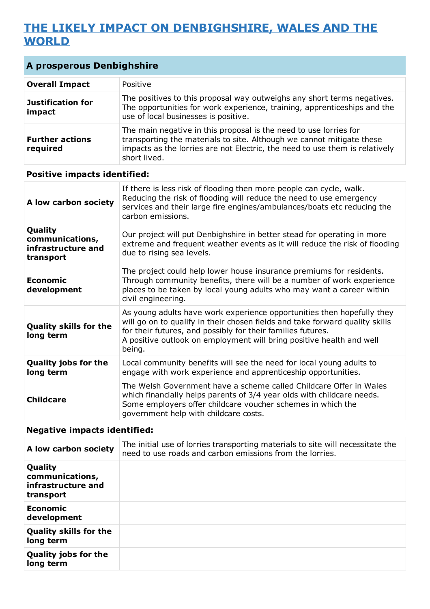# **THE LIKELY IMPACT ON DENBIGHSHIRE, WALES AND THE WORLD**

| <b>A prosperous Denbighshire</b>                 |                                                                                                                                                                                                                                            |  |
|--------------------------------------------------|--------------------------------------------------------------------------------------------------------------------------------------------------------------------------------------------------------------------------------------------|--|
| <b>Overall Impact</b>                            | Positive                                                                                                                                                                                                                                   |  |
| <b>Justification for</b><br>impact               | The positives to this proposal way outweighs any short terms negatives.<br>The opportunities for work experience, training, apprenticeships and the<br>use of local businesses is positive.                                                |  |
| <b>Further actions</b><br>required               | The main negative in this proposal is the need to use lorries for<br>transporting the materials to site. Although we cannot mitigate these<br>impacts as the lorries are not Electric, the need to use them is relatively<br>short lived.  |  |
| <b>Positive impacts identified:</b>              |                                                                                                                                                                                                                                            |  |
| A low carbon society                             | If there is less risk of flooding then more people can cycle, walk.<br>Reducing the risk of flooding will reduce the need to use emergency<br>services and their large fire engines/ambulances/boats etc reducing the<br>carbon emissions. |  |
| Quality<br>communications,<br>infrastructure and | Our project will put Denbighshire in better stead for operating in more<br>extreme and frequent weather events as it will reduce the risk of flooding<br>due to rising sea levels.                                                         |  |

| transport                                  | uut tu risiily sta levels.                                                                                                                                                                                                                                                                              |
|--------------------------------------------|---------------------------------------------------------------------------------------------------------------------------------------------------------------------------------------------------------------------------------------------------------------------------------------------------------|
| <b>Economic</b><br>development             | The project could help lower house insurance premiums for residents.<br>Through community benefits, there will be a number of work experience<br>places to be taken by local young adults who may want a career within<br>civil engineering.                                                            |
| <b>Quality skills for the</b><br>long term | As young adults have work experience opportunities then hopefully they<br>will go on to qualify in their chosen fields and take forward quality skills<br>for their futures, and possibly for their families futures.<br>A positive outlook on employment will bring positive health and well<br>being. |
| <b>Quality jobs for the</b><br>long term   | Local community benefits will see the need for local young adults to<br>engage with work experience and apprenticeship opportunities.                                                                                                                                                                   |
| <b>Childcare</b>                           | The Welsh Government have a scheme called Childcare Offer in Wales<br>which financially helps parents of 3/4 year olds with childcare needs.<br>Some employers offer childcare voucher schemes in which the<br>government help with childcare costs.                                                    |

## **Negative impacts identified:**

| A low carbon society                                          | The initial use of lorries transporting materials to site will necessitate the<br>need to use roads and carbon emissions from the lorries. |
|---------------------------------------------------------------|--------------------------------------------------------------------------------------------------------------------------------------------|
| Quality<br>communications,<br>infrastructure and<br>transport |                                                                                                                                            |
| Economic<br>development                                       |                                                                                                                                            |
| <b>Quality skills for the</b><br>long term                    |                                                                                                                                            |
| <b>Quality jobs for the</b><br>long term                      |                                                                                                                                            |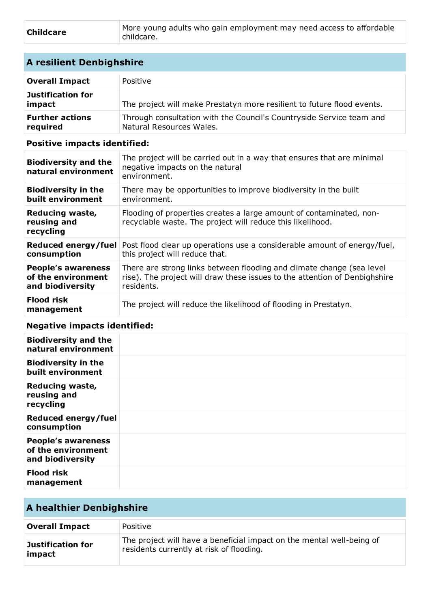| <b>Childcare</b> | More young adults who gain employment may need access to affordable |
|------------------|---------------------------------------------------------------------|
|                  | childcare.                                                          |

## **A resilient Denbighshire**

| <b>Overall Impact</b>              | Positive                                                                                         |
|------------------------------------|--------------------------------------------------------------------------------------------------|
| Justification for<br>impact        | The project will make Prestatyn more resilient to future flood events.                           |
| <b>Further actions</b><br>required | Through consultation with the Council's Countryside Service team and<br>Natural Resources Wales. |

## **Positive impacts identified:**

| <b>Biodiversity and the</b><br>natural environment | The project will be carried out in a way that ensures that are minimal<br>negative impacts on the natural<br>environment.         |
|----------------------------------------------------|-----------------------------------------------------------------------------------------------------------------------------------|
| <b>Biodiversity in the</b>                         | There may be opportunities to improve biodiversity in the built                                                                   |
| built environment                                  | environment.                                                                                                                      |
| Reducing waste,<br>reusing and<br>recycling        | Flooding of properties creates a large amount of contaminated, non-<br>recyclable waste. The project will reduce this likelihood. |
| Reduced energy/fuel                                | Post flood clear up operations use a considerable amount of energy/fuel,                                                          |
| consumption                                        | this project will reduce that.                                                                                                    |
| <b>People's awareness</b>                          | There are strong links between flooding and climate change (sea level                                                             |
| of the environment                                 | rise). The project will draw these issues to the attention of Denbighshire                                                        |
| and biodiversity                                   | residents.                                                                                                                        |
| <b>Flood risk</b><br>management                    | The project will reduce the likelihood of flooding in Prestatyn.                                                                  |

#### **Negative impacts identified:**

| <b>Biodiversity and the</b><br>natural environment                  |  |
|---------------------------------------------------------------------|--|
| <b>Biodiversity in the</b><br>built environment                     |  |
| <b>Reducing waste,</b><br>reusing and<br>recycling                  |  |
| <b>Reduced energy/fuel</b><br>consumption                           |  |
| <b>People's awareness</b><br>of the environment<br>and biodiversity |  |
| <b>Flood risk</b><br>management                                     |  |

## **A healthier Denbighshire Overall Impact** Positive **Justification for impact** The project will have a beneficial impact on the mental well-being of residents currently at risk of flooding.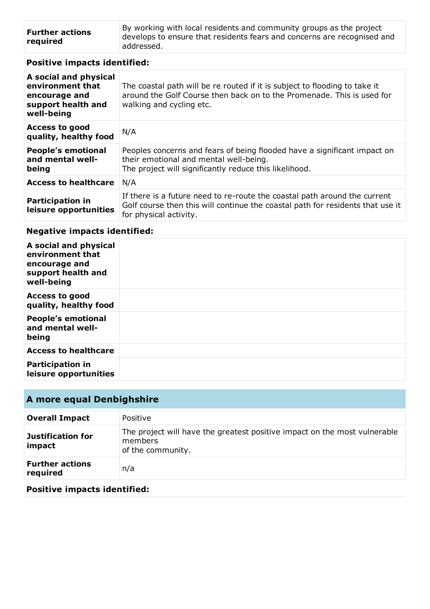| <b>Further actions</b><br>required | By working with local residents and community groups as the project<br>develops to ensure that residents fears and concerns are recognised and |
|------------------------------------|------------------------------------------------------------------------------------------------------------------------------------------------|
|                                    | addressed.                                                                                                                                     |

## **Positive impacts identified:**

| A social and physical<br>environment that<br>encourage and<br>support health and<br>well-being | The coastal path will be re routed if it is subject to flooding to take it<br>around the Golf Course then back on to the Promenade. This is used for<br>walking and cycling etc.      |
|------------------------------------------------------------------------------------------------|---------------------------------------------------------------------------------------------------------------------------------------------------------------------------------------|
| <b>Access to good</b><br>quality, healthy food                                                 | N/A                                                                                                                                                                                   |
| <b>People's emotional</b><br>and mental well-<br>being                                         | Peoples concerns and fears of being flooded have a significant impact on<br>their emotional and mental well-being.<br>The project will significantly reduce this likelihood.          |
| <b>Access to healthcare</b>                                                                    | N/A                                                                                                                                                                                   |
| <b>Participation in</b><br>leisure opportunities                                               | If there is a future need to re-route the coastal path around the current<br>Golf course then this will continue the coastal path for residents that use it<br>for physical activity. |

## **Negative impacts identified:**

| A social and physical<br>environment that<br>encourage and<br>support health and<br>well-being |  |
|------------------------------------------------------------------------------------------------|--|
| <b>Access to good</b><br>quality, healthy food                                                 |  |
| <b>People's emotional</b><br>and mental well-<br>being                                         |  |
| <b>Access to healthcare</b>                                                                    |  |
| <b>Participation in</b><br>leisure opportunities                                               |  |

# **A more equal Denbighshire**

| <b>Overall Impact</b>              | Positive                                                                                                  |
|------------------------------------|-----------------------------------------------------------------------------------------------------------|
| Justification for<br>impact        | The project will have the greatest positive impact on the most vulnerable<br>members<br>of the community. |
| <b>Further actions</b><br>required | n/a                                                                                                       |

## **Positive impacts identified:**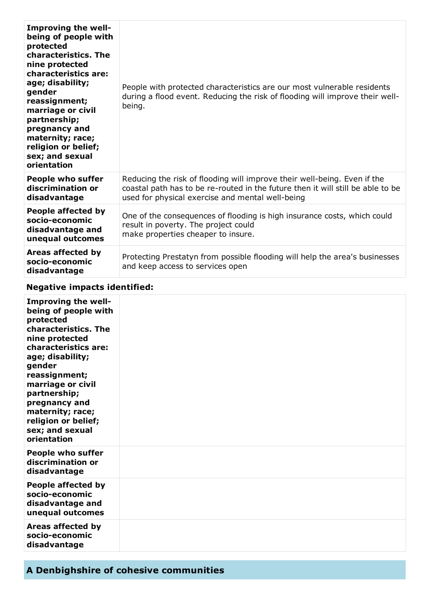| <b>Improving the well-</b><br>being of people with<br>protected<br>characteristics. The<br>nine protected<br>characteristics are:<br>age; disability;<br>gender<br>reassignment;<br>marriage or civil<br>partnership;<br>pregnancy and<br>maternity; race;<br>religion or belief;<br>sex; and sexual<br>orientation | People with protected characteristics are our most vulnerable residents<br>during a flood event. Reducing the risk of flooding will improve their well-<br>being.                                               |
|---------------------------------------------------------------------------------------------------------------------------------------------------------------------------------------------------------------------------------------------------------------------------------------------------------------------|-----------------------------------------------------------------------------------------------------------------------------------------------------------------------------------------------------------------|
| <b>People who suffer</b><br>discrimination or<br>disadvantage                                                                                                                                                                                                                                                       | Reducing the risk of flooding will improve their well-being. Even if the<br>coastal path has to be re-routed in the future then it will still be able to be<br>used for physical exercise and mental well-being |
| People affected by<br>socio-economic<br>disadvantage and<br>unequal outcomes                                                                                                                                                                                                                                        | One of the consequences of flooding is high insurance costs, which could<br>result in poverty. The project could<br>make properties cheaper to insure.                                                          |
| Areas affected by<br>socio-economic<br>disadvantage                                                                                                                                                                                                                                                                 | Protecting Prestatyn from possible flooding will help the area's businesses<br>and keep access to services open                                                                                                 |

## **Negative impacts identified:**

| Improving the well-<br>being of people with<br>protected<br>characteristics. The<br>nine protected<br>characteristics are:<br>age; disability;<br>gender<br>reassignment;<br>marriage or civil<br>partnership;<br>pregnancy and<br>maternity; race;<br>religion or belief;<br>sex; and sexual<br>orientation |  |
|--------------------------------------------------------------------------------------------------------------------------------------------------------------------------------------------------------------------------------------------------------------------------------------------------------------|--|
| <b>People who suffer</b><br>discrimination or<br>disadvantage                                                                                                                                                                                                                                                |  |
| People affected by<br>socio-economic<br>disadvantage and<br>unequal outcomes                                                                                                                                                                                                                                 |  |
| Areas affected by<br>socio-economic<br>disadvantage                                                                                                                                                                                                                                                          |  |

# **A Denbighshire of cohesive communities**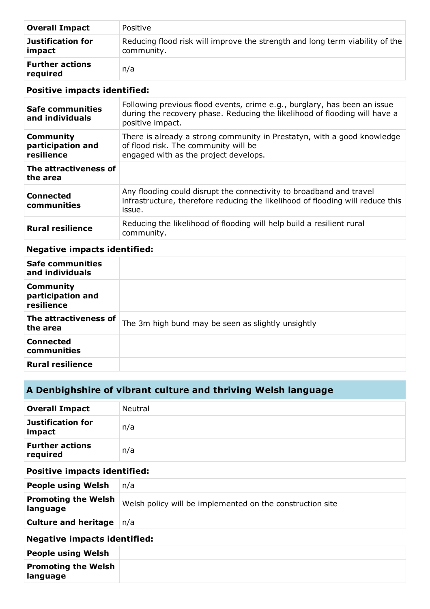| <b>Overall Impact</b>              | Positive                                                                                   |
|------------------------------------|--------------------------------------------------------------------------------------------|
| <b>Justification for</b><br>impact | Reducing flood risk will improve the strength and long term viability of the<br>community. |
| <b>Further actions</b><br>required | n/a                                                                                        |

#### **Positive impacts identified:**

| Safe communities<br>and individuals                 | Following previous flood events, crime e.g., burglary, has been an issue<br>during the recovery phase. Reducing the likelihood of flooding will have a<br>positive impact. |
|-----------------------------------------------------|----------------------------------------------------------------------------------------------------------------------------------------------------------------------------|
| <b>Community</b><br>participation and<br>resilience | There is already a strong community in Prestatyn, with a good knowledge<br>of flood risk. The community will be<br>engaged with as the project develops.                   |
| The attractiveness of<br>the area                   |                                                                                                                                                                            |
| <b>Connected</b><br>communities                     | Any flooding could disrupt the connectivity to broadband and travel<br>infrastructure, therefore reducing the likelihood of flooding will reduce this<br>issue.            |
| <b>Rural resilience</b>                             | Reducing the likelihood of flooding will help build a resilient rural<br>community.                                                                                        |

#### **Negative impacts identified:**

| <b>Safe communities</b><br>and individuals          |                                                    |
|-----------------------------------------------------|----------------------------------------------------|
| <b>Community</b><br>participation and<br>resilience |                                                    |
| The attractiveness of<br>the area                   | The 3m high bund may be seen as slightly unsightly |
| <b>Connected</b><br>communities                     |                                                    |
| <b>Rural resilience</b>                             |                                                    |

# **A Denbighshire of vibrant culture and thriving Welsh language**

| <b>Overall Impact</b>              | Neutral |
|------------------------------------|---------|
| Justification for<br>impact        | n/a     |
| <b>Further actions</b><br>required | n/a     |

## **Positive impacts identified:**

| <b>People using Welsh</b>                     | n/a                                                       |
|-----------------------------------------------|-----------------------------------------------------------|
| <b>Promoting the Welsh</b><br>language        | Welsh policy will be implemented on the construction site |
| <b>Culture and heritage</b> $\vert n/a \vert$ |                                                           |

## **Negative impacts identified:**

| <b>People using Welsh</b>              |  |
|----------------------------------------|--|
| <b>Promoting the Welsh</b><br>language |  |